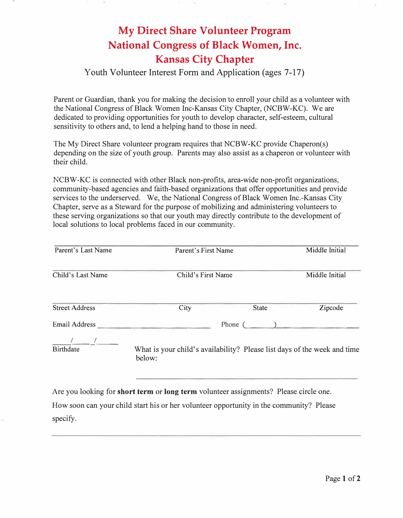## **My Direct Share Volunteer Program National Congress of Black Women, Inc. Kansas City Chapter**

Youth Volunteer Interest Form and Application (ages 7-17)

Parent or Guardian, thank you for making the decision to enroll your child as a volunteer with the National Congress of Black Women Inc-Kansas City Chapter, (NCBW-KC). We are dedicated to providing opportunities for youth to develop character, self-esteem, cultural sensitivity to others and, to lend a helping hand to those in need.

The My Direct Share volunteer program requires that NCBW-KC provide Chaperon(s) depending on the size of youth group. Parents may also assist as a chaperon or volunteer with their child.

NCBW-KC is connected with other Black non-profits, area-wide non-profit organizations, community-based agencies and faith-based organizations that offer opportunities and provide services to the underserved. We, the National Congress of Black Women Inc.-Kansas City Chapter, serve as a Steward for the purpose of mobilizing and administering volunteers to these serving organizations so that our youth may directly contribute to the development of local solutions to local problems faced in our community.

| Parent's Last Name                | Parent's First Name                                                                | Middle Initial<br>Middle Initial |         |
|-----------------------------------|------------------------------------------------------------------------------------|----------------------------------|---------|
| Child's Last Name                 | Child's First Name                                                                 |                                  |         |
| <b>Street Address</b>             | City                                                                               | <b>State</b>                     | Zipcode |
| Email Address                     | the contract of the contract of the contract of the con-                           | Phone $($                        |         |
| $\frac{1}{2}$<br><b>Birthdate</b> | What is your child's availability? Please list days of the week and time<br>below: |                                  |         |

Are you looking for **short term or long term** volunteer assignments? Please circle one. How soon can your child start his or her volunteer opportunity in the community? Please specify.